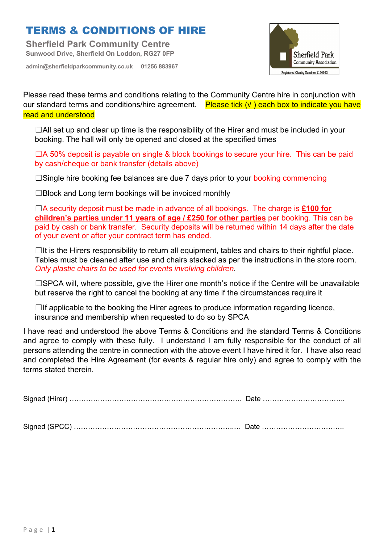**Sherfield Park Community Centre Sunwood Drive, Sherfield On Loddon, RG27 0FP**

**admin@sherfieldparkcommunity.co.uk 01256 883967**



Please read these terms and conditions relating to the Community Centre hire in conjunction with our standard terms and conditions/hire agreement. Please tick (√ ) each box to indicate you have read and understood

 $\Box$ All set up and clear up time is the responsibility of the Hirer and must be included in your booking. The hall will only be opened and closed at the specified times

☐A 50% deposit is payable on single & block bookings to secure your hire. This can be paid by cash/cheque or bank transfer (details above)

□Single hire booking fee balances are due 7 days prior to your booking commencing

□Block and Long term bookings will be invoiced monthly

☐A security deposit must be made in advance of all bookings. The charge is **£100 for children's parties under 11 years of age / £250 for other parties** per booking. This can be paid by cash or bank transfer. Security deposits will be returned within 14 days after the date of your event or after your contract term has ended.

 $\Box$ It is the Hirers responsibility to return all equipment, tables and chairs to their rightful place. Tables must be cleaned after use and chairs stacked as per the instructions in the store room. *Only plastic chairs to be used for events involving children.* 

□SPCA will, where possible, give the Hirer one month's notice if the Centre will be unavailable but reserve the right to cancel the booking at any time if the circumstances require it

 $\Box$ If applicable to the booking the Hirer agrees to produce information regarding licence, insurance and membership when requested to do so by SPCA

I have read and understood the above Terms & Conditions and the standard Terms & Conditions and agree to comply with these fully. I understand I am fully responsible for the conduct of all persons attending the centre in connection with the above event I have hired it for. I have also read and completed the Hire Agreement (for events & regular hire only) and agree to comply with the terms stated therein.

| Sianeo |  |
|--------|--|
|--------|--|

Signed (SPCC) …………………………………………………………..… Date ……………………………..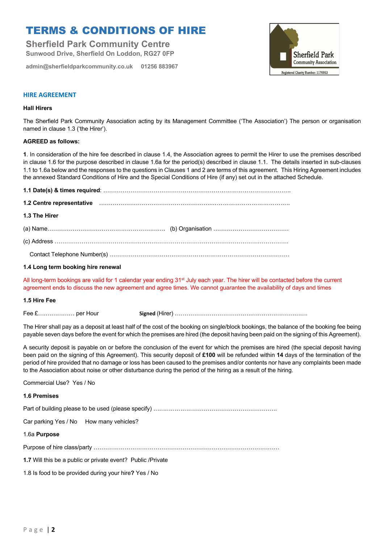**Sherfield Park Community Centre Sunwood Drive, Sherfield On Loddon, RG27 0FP**

**admin@sherfieldparkcommunity.co.uk 01256 883967**



### **HIRE AGREEMENT**

#### **Hall Hirers**

The Sherfield Park Community Association acting by its Management Committee ('The Association') The person or organisation named in clause 1.3 ('the Hirer').

#### **AGREED as follows:**

**1**. In consideration of the hire fee described in clause 1.4, the Association agrees to permit the Hirer to use the premises described in clause 1.6 for the purpose described in clause 1.6a for the period(s) described in clause 1.1. The details inserted in sub-clauses 1.1 to 1.6a below and the responses to the questions in Clauses 1 and 2 are terms of this agreement. This Hiring Agreement includes the annexed Standard Conditions of Hire and the Special Conditions of Hire (if any) set out in the attached Schedule.

| 1.2 Centre representative material contains and the contract of the contract of the contract of the contract o |  |
|----------------------------------------------------------------------------------------------------------------|--|
| 1.3 The Hirer                                                                                                  |  |
|                                                                                                                |  |
|                                                                                                                |  |
|                                                                                                                |  |

#### **1.4 Long term booking hire renewal**

All long-term bookings are valid for 1 calendar year ending 31<sup>st</sup> July each year. The hirer will be contacted before the current agreement ends to discuss the new agreement and agree times. We cannot guarantee the availability of days and times

#### **1.5 Hire Fee**

| Fee £ per Hour | signed ' |
|----------------|----------|
|----------------|----------|

The Hirer shall pay as a deposit at least half of the cost of the booking on single/block bookings, the balance of the booking fee being payable seven days before the event for which the premises are hired (the deposit having been paid on the signing of this Agreement).

A security deposit is payable on or before the conclusion of the event for which the premises are hired (the special deposit having been paid on the signing of this Agreement). This security deposit of **£100** will be refunded within **14** days of the termination of the period of hire provided that no damage or loss has been caused to the premises and/or contents nor have any complaints been made to the Association about noise or other disturbance during the period of the hiring as a result of the hiring.

Commercial Use? Yes / No

#### **1.6 Premises**

Part of building please to be used (please specify) …………………………………………………………………………

Car parking Yes / No How many vehicles?

#### 1.6a **Purpose**

Purpose of hire class/party ……………………………………………………………………………………

**1.7** Will this be a public or private event? Public /Private

1.8 Is food to be provided during your hire**?** Yes / No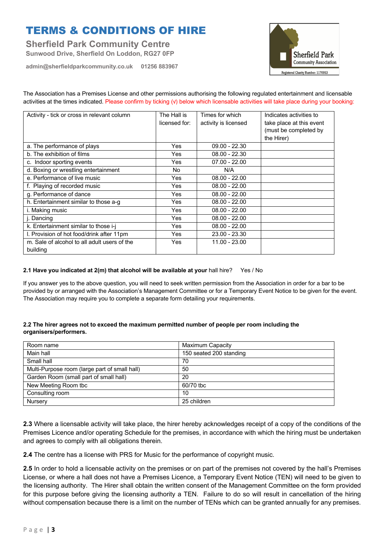**Sherfield Park Community Centre Sunwood Drive, Sherfield On Loddon, RG27 0FP**

**admin@sherfieldparkcommunity.co.uk 01256 883967**



The Association has a Premises License and other permissions authorising the following regulated entertainment and licensable activities at the times indicated. Please confirm by ticking (v) below which licensable activities will take place during your booking:

| Activity - tick or cross in relevant column  | The Hall is<br>licensed for: | Times for which<br>activity is licensed | Indicates activities to<br>take place at this event<br>(must be completed by |
|----------------------------------------------|------------------------------|-----------------------------------------|------------------------------------------------------------------------------|
|                                              |                              |                                         | the Hirer)                                                                   |
| a. The performance of plays                  | <b>Yes</b>                   | $09.00 - 22.30$                         |                                                                              |
| b. The exhibition of films                   | Yes                          | $08.00 - 22.30$                         |                                                                              |
| c. Indoor sporting events                    | Yes                          | $07.00 - 22.00$                         |                                                                              |
| d. Boxing or wrestling entertainment         | No.                          | N/A                                     |                                                                              |
| e. Performance of live music                 | Yes                          | $08.00 - 22.00$                         |                                                                              |
| f. Playing of recorded music                 | Yes                          | $08.00 - 22.00$                         |                                                                              |
| g. Performance of dance                      | Yes                          | $08.00 - 22.00$                         |                                                                              |
| h. Entertainment similar to those a-g        | Yes                          | $08.00 - 22.00$                         |                                                                              |
| i. Making music                              | Yes                          | $08.00 - 22.00$                         |                                                                              |
| j. Dancing                                   | Yes                          | $08.00 - 22.00$                         |                                                                              |
| k. Entertainment similar to those i-j        | Yes                          | $08.00 - 22.00$                         |                                                                              |
| I. Provision of hot food/drink after 11pm    | Yes                          | 23.00 - 23.30                           |                                                                              |
| m. Sale of alcohol to all adult users of the | Yes                          | 11.00 - 23.00                           |                                                                              |
| building                                     |                              |                                         |                                                                              |

### **2.1 Have you indicated at 2(m) that alcohol will be available at your** hall hire? Yes / No

If you answer yes to the above question, you will need to seek written permission from the Association in order for a bar to be provided by or arranged with the Association's Management Committee or for a Temporary Event Notice to be given for the event. The Association may require you to complete a separate form detailing your requirements.

### **2.2 The hirer agrees not to exceed the maximum permitted number of people per room including the organisers/performers.**

| Room name                                     | Maximum Capacity        |
|-----------------------------------------------|-------------------------|
| Main hall                                     | 150 seated 200 standing |
| Small hall                                    | 70                      |
| Multi-Purpose room (large part of small hall) | 50                      |
| Garden Room (small part of small hall)        | 20                      |
| New Meeting Room tbc                          | 60/70 tbc               |
| Consulting room                               | 10                      |
| Nursery                                       | 25 children             |

**2.3** Where a licensable activity will take place, the hirer hereby acknowledges receipt of a copy of the conditions of the Premises Licence and/or operating Schedule for the premises, in accordance with which the hiring must be undertaken and agrees to comply with all obligations therein.

**2.4** The centre has a license with PRS for Music for the performance of copyright music.

**2.5** In order to hold a licensable activity on the premises or on part of the premises not covered by the hall's Premises License, or where a hall does not have a Premises Licence, a Temporary Event Notice (TEN) will need to be given to the licensing authority. The Hirer shall obtain the written consent of the Management Committee on the form provided for this purpose before giving the licensing authority a TEN. Failure to do so will result in cancellation of the hiring without compensation because there is a limit on the number of TENs which can be granted annually for any premises.